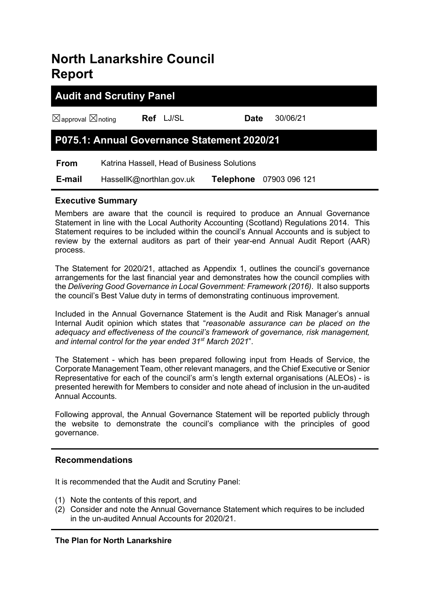## **North Lanarkshire Council Report**

# **Audit and Scrutiny Panel**

☒approval ☒noting **Ref** LJ/SL **Date** 30/06/21

## **P075.1: Annual Governance Statement 2020/21**

 **From** Katrina Hassell, Head of Business Solutions

 **E-mail** HassellK@northlan.gov.uk **Telephone** 07903 096 121

#### **Executive Summary**

Members are aware that the council is required to produce an Annual Governance Statement in line with the Local Authority Accounting (Scotland) Regulations 2014. This Statement requires to be included within the council's Annual Accounts and is subject to review by the external auditors as part of their year-end Annual Audit Report (AAR) process.

The Statement for 2020/21, attached as Appendix 1, outlines the council's governance arrangements for the last financial year and demonstrates how the council complies with the *Delivering Good Governance in Local Government: Framework (2016)*. It also supports the council's Best Value duty in terms of demonstrating continuous improvement.

Included in the Annual Governance Statement is the Audit and Risk Manager's annual Internal Audit opinion which states that "*reasonable assurance can be placed on the adequacy and effectiveness of the council's framework of governance, risk management, and internal control for the year ended 31st March 2021*".

The Statement - which has been prepared following input from Heads of Service, the Corporate Management Team, other relevant managers, and the Chief Executive or Senior Representative for each of the council's arm's length external organisations (ALEOs) - is presented herewith for Members to consider and note ahead of inclusion in the un-audited Annual Accounts.

Following approval, the Annual Governance Statement will be reported publicly through the website to demonstrate the council's compliance with the principles of good governance.

#### **Recommendations**

It is recommended that the Audit and Scrutiny Panel:

- (1) Note the contents of this report, and
- (2) Consider and note the Annual Governance Statement which requires to be included in the un-audited Annual Accounts for 2020/21.

#### **The Plan for North Lanarkshire**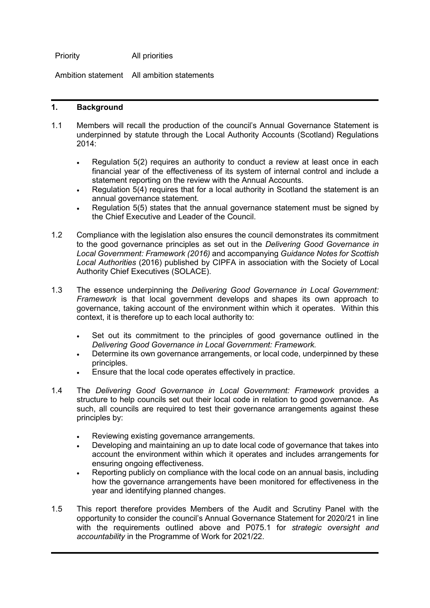Priority All priorities

Ambition statement All ambition statements

#### **1. Background**

- 1.1 Members will recall the production of the council's Annual Governance Statement is underpinned by statute through the Local Authority Accounts (Scotland) Regulations 2014:
	- Regulation 5(2) requires an authority to conduct a review at least once in each financial year of the effectiveness of its system of internal control and include a statement reporting on the review with the Annual Accounts.
	- Regulation 5(4) requires that for a local authority in Scotland the statement is an annual governance statement.
	- Regulation 5(5) states that the annual governance statement must be signed by the Chief Executive and Leader of the Council.
- 1.2 Compliance with the legislation also ensures the council demonstrates its commitment to the good governance principles as set out in the *Delivering Good Governance in Local Government: Framework (2016)* and accompanying *Guidance Notes for Scottish Local Authorities* (2016) published by CIPFA in association with the Society of Local Authority Chief Executives (SOLACE).
- 1.3 The essence underpinning the *Delivering Good Governance in Local Government: Framework* is that local government develops and shapes its own approach to governance, taking account of the environment within which it operates. Within this context, it is therefore up to each local authority to:
	- Set out its commitment to the principles of good governance outlined in the *Delivering Good Governance in Local Government: Framework.*
	- Determine its own governance arrangements, or local code, underpinned by these principles.
	- Ensure that the local code operates effectively in practice.
- 1.4 The *Delivering Good Governance in Local Government: Framework* provides a structure to help councils set out their local code in relation to good governance. As such, all councils are required to test their governance arrangements against these principles by:
	- Reviewing existing governance arrangements.
	- Developing and maintaining an up to date local code of governance that takes into account the environment within which it operates and includes arrangements for ensuring ongoing effectiveness.
	- Reporting publicly on compliance with the local code on an annual basis, including how the governance arrangements have been monitored for effectiveness in the year and identifying planned changes.
- 1.5 This report therefore provides Members of the Audit and Scrutiny Panel with the opportunity to consider the council's Annual Governance Statement for 2020/21 in line with the requirements outlined above and P075.1 for *strategic oversight and accountability* in the Programme of Work for 2021/22.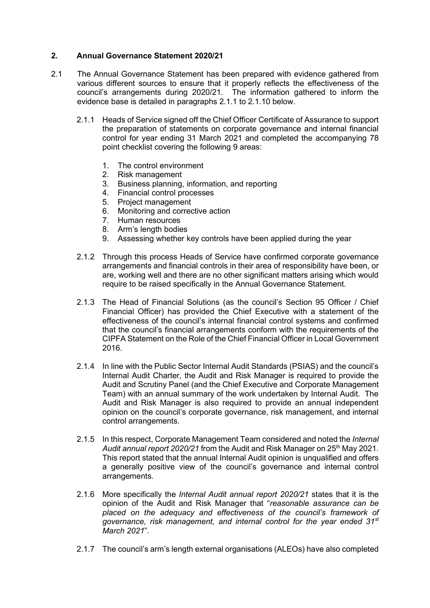#### **2. Annual Governance Statement 2020/21**

- 2.1 The Annual Governance Statement has been prepared with evidence gathered from various different sources to ensure that it properly reflects the effectiveness of the council's arrangements during 2020/21. The information gathered to inform the evidence base is detailed in paragraphs 2.1.1 to 2.1.10 below.
	- 2.1.1 Heads of Service signed off the Chief Officer Certificate of Assurance to support the preparation of statements on corporate governance and internal financial control for year ending 31 March 2021 and completed the accompanying 78 point checklist covering the following 9 areas:
		- 1. The control environment
		- 2. Risk management
		- 3. Business planning, information, and reporting
		- 4. Financial control processes
		- 5. Project management
		- 6. Monitoring and corrective action
		- 7. Human resources
		- 8. Arm's length bodies
		- 9. Assessing whether key controls have been applied during the year
	- 2.1.2 Through this process Heads of Service have confirmed corporate governance arrangements and financial controls in their area of responsibility have been, or are, working well and there are no other significant matters arising which would require to be raised specifically in the Annual Governance Statement.
	- 2.1.3 The Head of Financial Solutions (as the council's Section 95 Officer / Chief Financial Officer) has provided the Chief Executive with a statement of the effectiveness of the council's internal financial control systems and confirmed that the council's financial arrangements conform with the requirements of the CIPFA Statement on the Role of the Chief Financial Officer in Local Government 2016.
	- 2.1.4 In line with the Public Sector Internal Audit Standards (PSIAS) and the council's Internal Audit Charter, the Audit and Risk Manager is required to provide the Audit and Scrutiny Panel (and the Chief Executive and Corporate Management Team) with an annual summary of the work undertaken by Internal Audit. The Audit and Risk Manager is also required to provide an annual independent opinion on the council's corporate governance, risk management, and internal control arrangements.
	- 2.1.5 In this respect, Corporate Management Team considered and noted the *Internal Audit annual report 2020/21* from the Audit and Risk Manager on 25th May 2021. This report stated that the annual Internal Audit opinion is unqualified and offers a generally positive view of the council's governance and internal control arrangements.
	- 2.1.6 More specifically the *Internal Audit annual report 2020/21* states that it is the opinion of the Audit and Risk Manager that "*reasonable assurance can be placed on the adequacy and effectiveness of the council's framework of governance, risk management, and internal control for the year ended 31st March 2021*".
	- 2.1.7 The council's arm's length external organisations (ALEOs) have also completed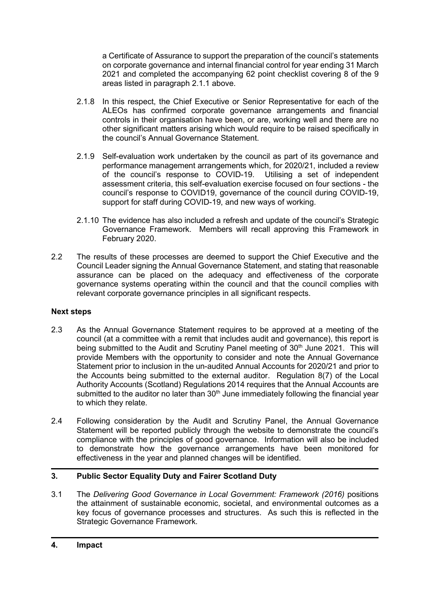a Certificate of Assurance to support the preparation of the council's statements on corporate governance and internal financial control for year ending 31 March 2021 and completed the accompanying 62 point checklist covering 8 of the 9 areas listed in paragraph 2.1.1 above.

- 2.1.8 In this respect, the Chief Executive or Senior Representative for each of the ALEOs has confirmed corporate governance arrangements and financial controls in their organisation have been, or are, working well and there are no other significant matters arising which would require to be raised specifically in the council's Annual Governance Statement.
- 2.1.9 Self-evaluation work undertaken by the council as part of its governance and performance management arrangements which, for 2020/21, included a review<br>of the council's response to COVID-19. Utilising a set of independent of the council's response to COVID-19. assessment criteria, this self-evaluation exercise focused on four sections - the council's response to COVID19, governance of the council during COVID-19, support for staff during COVID-19, and new ways of working.
- 2.1.10 The evidence has also included a refresh and update of the council's Strategic Governance Framework. Members will recall approving this Framework in February 2020.
- 2.2 The results of these processes are deemed to support the Chief Executive and the Council Leader signing the Annual Governance Statement, and stating that reasonable assurance can be placed on the adequacy and effectiveness of the corporate governance systems operating within the council and that the council complies with relevant corporate governance principles in all significant respects.

#### **Next steps**

- 2.3 As the Annual Governance Statement requires to be approved at a meeting of the council (at a committee with a remit that includes audit and governance), this report is being submitted to the Audit and Scrutiny Panel meeting of 30<sup>th</sup> June 2021. This will provide Members with the opportunity to consider and note the Annual Governance Statement prior to inclusion in the un-audited Annual Accounts for 2020/21 and prior to the Accounts being submitted to the external auditor. Regulation 8(7) of the Local Authority Accounts (Scotland) Regulations 2014 requires that the Annual Accounts are submitted to the auditor no later than  $30<sup>th</sup>$  June immediately following the financial year to which they relate.
- 2.4 Following consideration by the Audit and Scrutiny Panel, the Annual Governance Statement will be reported publicly through the website to demonstrate the council's compliance with the principles of good governance. Information will also be included to demonstrate how the governance arrangements have been monitored for effectiveness in the year and planned changes will be identified.

#### **3. Public Sector Equality Duty and Fairer Scotland Duty**

3.1 The *Delivering Good Governance in Local Government: Framework (2016)* positions the attainment of sustainable economic, societal, and environmental outcomes as a key focus of governance processes and structures. As such this is reflected in the Strategic Governance Framework.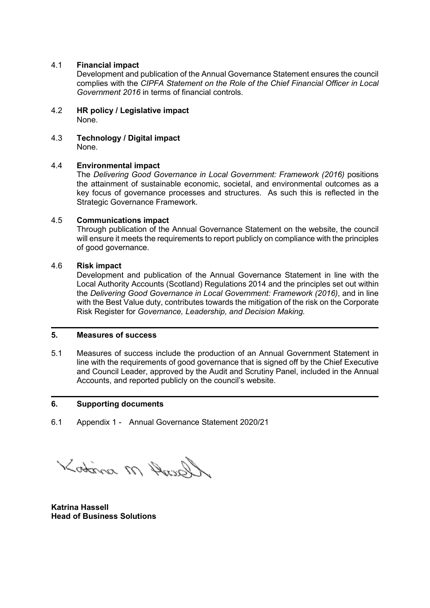#### 4.1 **Financial impact**

Development and publication of the Annual Governance Statement ensures the council complies with the *CIPFA Statement on the Role of the Chief Financial Officer in Local Government 2016* in terms of financial controls.

- 4.2 **HR policy / Legislative impact** None.
- 4.3 **Technology / Digital impact** None.

#### 4.4 **Environmental impact**

The *Delivering Good Governance in Local Government: Framework (2016)* positions the attainment of sustainable economic, societal, and environmental outcomes as a key focus of governance processes and structures. As such this is reflected in the Strategic Governance Framework.

#### 4.5 **Communications impact**

Through publication of the Annual Governance Statement on the website, the council will ensure it meets the requirements to report publicly on compliance with the principles of good governance.

#### 4.6 **Risk impact**

Development and publication of the Annual Governance Statement in line with the Local Authority Accounts (Scotland) Regulations 2014 and the principles set out within the *Delivering Good Governance in Local Government: Framework (2016)*, and in line with the Best Value duty, contributes towards the mitigation of the risk on the Corporate Risk Register for *Governance, Leadership, and Decision Making.*

#### **5. Measures of success**

5.1 Measures of success include the production of an Annual Government Statement in line with the requirements of good governance that is signed off by the Chief Executive and Council Leader, approved by the Audit and Scrutiny Panel, included in the Annual Accounts, and reported publicly on the council's website.

#### **6. Supporting documents**

6.1 Appendix 1 - Annual Governance Statement 2020/21

Kotina M Ausell

**Katrina Hassell Head of Business Solutions**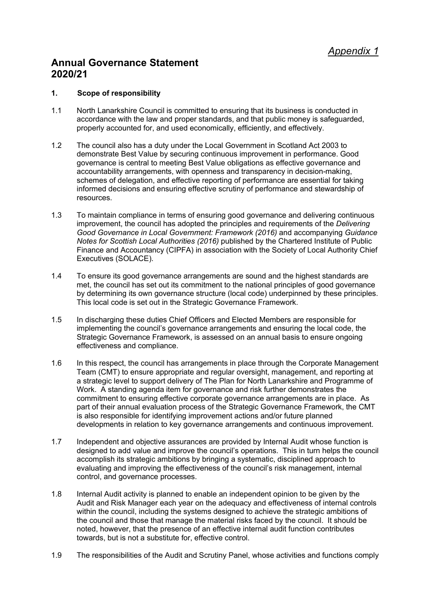## **Annual Governance Statement 2020/21**

#### **1. Scope of responsibility**

- 1.1 North Lanarkshire Council is committed to ensuring that its business is conducted in accordance with the law and proper standards, and that public money is safeguarded, properly accounted for, and used economically, efficiently, and effectively.
- 1.2 The council also has a duty under the Local Government in Scotland Act 2003 to demonstrate Best Value by securing continuous improvement in performance. Good governance is central to meeting Best Value obligations as effective governance and accountability arrangements, with openness and transparency in decision-making, schemes of delegation, and effective reporting of performance are essential for taking informed decisions and ensuring effective scrutiny of performance and stewardship of resources.
- 1.3 To maintain compliance in terms of ensuring good governance and delivering continuous improvement, the council has adopted the principles and requirements of the *Delivering Good Governance in Local Government: Framework (2016)* and accompanying *Guidance Notes for Scottish Local Authorities (2016)* published by the Chartered Institute of Public Finance and Accountancy (CIPFA) in association with the Society of Local Authority Chief Executives (SOLACE).
- 1.4 To ensure its good governance arrangements are sound and the highest standards are met, the council has set out its commitment to the national principles of good governance by determining its own governance structure (local code) underpinned by these principles. This local code is set out in the Strategic Governance Framework.
- 1.5 In discharging these duties Chief Officers and Elected Members are responsible for implementing the council's governance arrangements and ensuring the local code, the Strategic Governance Framework, is assessed on an annual basis to ensure ongoing effectiveness and compliance.
- 1.6 In this respect, the council has arrangements in place through the Corporate Management Team (CMT) to ensure appropriate and regular oversight, management, and reporting at a strategic level to support delivery of The Plan for North Lanarkshire and Programme of Work. A standing agenda item for governance and risk further demonstrates the commitment to ensuring effective corporate governance arrangements are in place. As part of their annual evaluation process of the Strategic Governance Framework, the CMT is also responsible for identifying improvement actions and/or future planned developments in relation to key governance arrangements and continuous improvement.
- 1.7 Independent and objective assurances are provided by Internal Audit whose function is designed to add value and improve the council's operations. This in turn helps the council accomplish its strategic ambitions by bringing a systematic, disciplined approach to evaluating and improving the effectiveness of the council's risk management, internal control, and governance processes.
- 1.8 Internal Audit activity is planned to enable an independent opinion to be given by the Audit and Risk Manager each year on the adequacy and effectiveness of internal controls within the council, including the systems designed to achieve the strategic ambitions of the council and those that manage the material risks faced by the council. It should be noted, however, that the presence of an effective internal audit function contributes towards, but is not a substitute for, effective control.
- 1.9 The responsibilities of the Audit and Scrutiny Panel, whose activities and functions comply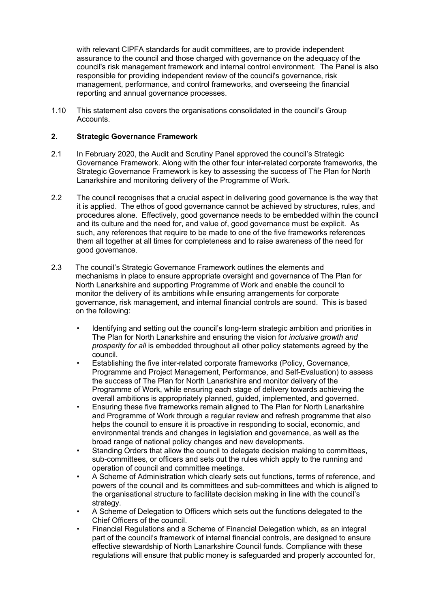with relevant CIPFA standards for audit committees, are to provide independent assurance to the council and those charged with governance on the adequacy of the council's risk management framework and internal control environment. The Panel is also responsible for providing independent review of the council's governance, risk management, performance, and control frameworks, and overseeing the financial reporting and annual governance processes.

1.10 This statement also covers the organisations consolidated in the council's Group Accounts.

#### **2. Strategic Governance Framework**

- 2.1 In February 2020, the Audit and Scrutiny Panel approved the council's Strategic Governance Framework. Along with the other four inter-related corporate frameworks, the Strategic Governance Framework is key to assessing the success of The Plan for North Lanarkshire and monitoring delivery of the Programme of Work.
- 2.2 The council recognises that a crucial aspect in delivering good governance is the way that it is applied. The ethos of good governance cannot be achieved by structures, rules, and procedures alone. Effectively, good governance needs to be embedded within the council and its culture and the need for, and value of, good governance must be explicit. As such, any references that require to be made to one of the five frameworks references them all together at all times for completeness and to raise awareness of the need for good governance.
- 2.3 The council's Strategic Governance Framework outlines the elements and mechanisms in place to ensure appropriate oversight and governance of The Plan for North Lanarkshire and supporting Programme of Work and enable the council to monitor the delivery of its ambitions while ensuring arrangements for corporate governance, risk management, and internal financial controls are sound. This is based on the following:
	- Identifying and setting out the council's long-term strategic ambition and priorities in The Plan for North Lanarkshire and ensuring the vision for *inclusive growth and prosperity for all* is embedded throughout all other policy statements agreed by the council.
	- Establishing the five inter-related corporate frameworks (Policy, Governance, Programme and Project Management, Performance, and Self-Evaluation) to assess the success of The Plan for North Lanarkshire and monitor delivery of the Programme of Work, while ensuring each stage of delivery towards achieving the overall ambitions is appropriately planned, guided, implemented, and governed.
	- Ensuring these five frameworks remain aligned to The Plan for North Lanarkshire and Programme of Work through a regular review and refresh programme that also helps the council to ensure it is proactive in responding to social, economic, and environmental trends and changes in legislation and governance, as well as the broad range of national policy changes and new developments.
	- Standing Orders that allow the council to delegate decision making to committees, sub-committees, or officers and sets out the rules which apply to the running and operation of council and committee meetings.
	- A Scheme of Administration which clearly sets out functions, terms of reference, and powers of the council and its committees and sub-committees and which is aligned to the organisational structure to facilitate decision making in line with the council's strategy.
	- A Scheme of Delegation to Officers which sets out the functions delegated to the Chief Officers of the council.
	- Financial Regulations and a Scheme of Financial Delegation which, as an integral part of the council's framework of internal financial controls, are designed to ensure effective stewardship of North Lanarkshire Council funds. Compliance with these regulations will ensure that public money is safeguarded and properly accounted for,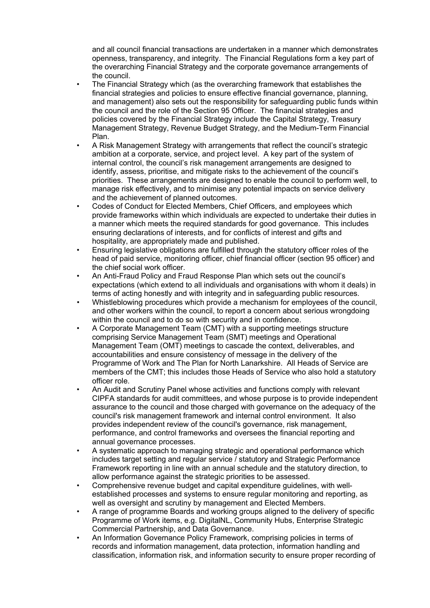and all council financial transactions are undertaken in a manner which demonstrates openness, transparency, and integrity. The Financial Regulations form a key part of the overarching Financial Strategy and the corporate governance arrangements of the council.

- The Financial Strategy which (as the overarching framework that establishes the financial strategies and policies to ensure effective financial governance, planning, and management) also sets out the responsibility for safeguarding public funds within the council and the role of the Section 95 Officer. The financial strategies and policies covered by the Financial Strategy include the Capital Strategy, Treasury Management Strategy, Revenue Budget Strategy, and the Medium-Term Financial Plan.
- A Risk Management Strategy with arrangements that reflect the council's strategic ambition at a corporate, service, and project level. A key part of the system of internal control, the council's risk management arrangements are designed to identify, assess, prioritise, and mitigate risks to the achievement of the council's priorities. These arrangements are designed to enable the council to perform well, to manage risk effectively, and to minimise any potential impacts on service delivery and the achievement of planned outcomes.
- Codes of Conduct for Elected Members, Chief Officers, and employees which provide frameworks within which individuals are expected to undertake their duties in a manner which meets the required standards for good governance. This includes ensuring declarations of interests, and for conflicts of interest and gifts and hospitality, are appropriately made and published.
- Ensuring legislative obligations are fulfilled through the statutory officer roles of the head of paid service, monitoring officer, chief financial officer (section 95 officer) and the chief social work officer.
- An Anti-Fraud Policy and Fraud Response Plan which sets out the council's expectations (which extend to all individuals and organisations with whom it deals) in terms of acting honestly and with integrity and in safeguarding public resources.
- Whistleblowing procedures which provide a mechanism for employees of the council, and other workers within the council, to report a concern about serious wrongdoing within the council and to do so with security and in confidence.
- A Corporate Management Team (CMT) with a supporting meetings structure comprising Service Management Team (SMT) meetings and Operational Management Team (OMT) meetings to cascade the context, deliverables, and accountabilities and ensure consistency of message in the delivery of the Programme of Work and The Plan for North Lanarkshire. All Heads of Service are members of the CMT; this includes those Heads of Service who also hold a statutory officer role.
- An Audit and Scrutiny Panel whose activities and functions comply with relevant CIPFA standards for audit committees, and whose purpose is to provide independent assurance to the council and those charged with governance on the adequacy of the council's risk management framework and internal control environment. It also provides independent review of the council's governance, risk management, performance, and control frameworks and oversees the financial reporting and annual governance processes.
- A systematic approach to managing strategic and operational performance which includes target setting and regular service / statutory and Strategic Performance Framework reporting in line with an annual schedule and the statutory direction, to allow performance against the strategic priorities to be assessed.
- Comprehensive revenue budget and capital expenditure guidelines, with wellestablished processes and systems to ensure regular monitoring and reporting, as well as oversight and scrutiny by management and Elected Members.
- A range of programme Boards and working groups aligned to the delivery of specific Programme of Work items, e.g. DigitalNL, Community Hubs, Enterprise Strategic Commercial Partnership, and Data Governance.
- An Information Governance Policy Framework, comprising policies in terms of records and information management, data protection, information handling and classification, information risk, and information security to ensure proper recording of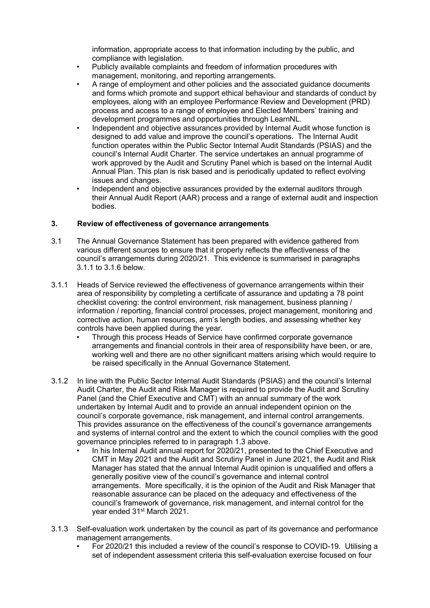information, appropriate access to that information including by the public, and compliance with legislation.

- Publicly available complaints and freedom of information procedures with management, monitoring, and reporting arrangements.
- A range of employment and other policies and the associated guidance documents and forms which promote and support ethical behaviour and standards of conduct by employees, along with an employee Performance Review and Development (PRD) process and access to a range of employee and Elected Members' training and development programmes and opportunities through LearnNL.
- Independent and objective assurances provided by Internal Audit whose function is designed to add value and improve the council's operations. The Internal Audit function operates within the Public Sector Internal Audit Standards (PSIAS) and the council's Internal Audit Charter. The service undertakes an annual programme of work approved by the Audit and Scrutiny Panel which is based on the Internal Audit Annual Plan. This plan is risk based and is periodically updated to reflect evolving issues and changes.
- Independent and objective assurances provided by the external auditors through their Annual Audit Report (AAR) process and a range of external audit and inspection bodies.

#### **3. Review of effectiveness of governance arrangements**

- 3.1 The Annual Governance Statement has been prepared with evidence gathered from various different sources to ensure that it properly reflects the effectiveness of the council's arrangements during 2020/21. This evidence is summarised in paragraphs 3.1.1 to 3.1.6 below.
- 3.1.1 Heads of Service reviewed the effectiveness of governance arrangements within their area of responsibility by completing a certificate of assurance and updating a 78 point checklist covering: the control environment, risk management, business planning / information / reporting, financial control processes, project management, monitoring and corrective action, human resources, arm's length bodies, and assessing whether key controls have been applied during the year.
	- Through this process Heads of Service have confirmed corporate governance arrangements and financial controls in their area of responsibility have been, or are, working well and there are no other significant matters arising which would require to be raised specifically in the Annual Governance Statement.
- 3.1.2 In line with the Public Sector Internal Audit Standards (PSIAS) and the council's Internal Audit Charter, the Audit and Risk Manager is required to provide the Audit and Scrutiny Panel (and the Chief Executive and CMT) with an annual summary of the work undertaken by Internal Audit and to provide an annual independent opinion on the council's corporate governance, risk management, and internal control arrangements. This provides assurance on the effectiveness of the council's governance arrangements and systems of internal control and the extent to which the council complies with the good governance principles referred to in paragraph 1.3 above.
	- In his Internal Audit annual report for 2020/21, presented to the Chief Executive and CMT in May 2021 and the Audit and Scrutiny Panel in June 2021, the Audit and Risk Manager has stated that the annual Internal Audit opinion is unqualified and offers a generally positive view of the council's governance and internal control arrangements. More specifically, it is the opinion of the Audit and Risk Manager that reasonable assurance can be placed on the adequacy and effectiveness of the council's framework of governance, risk management, and internal control for the year ended 31<sup>st</sup> March 2021.
- 3.1.3 Self-evaluation work undertaken by the council as part of its governance and performance management arrangements.
	- For 2020/21 this included a review of the council's response to COVID-19. Utilising a set of independent assessment criteria this self-evaluation exercise focused on four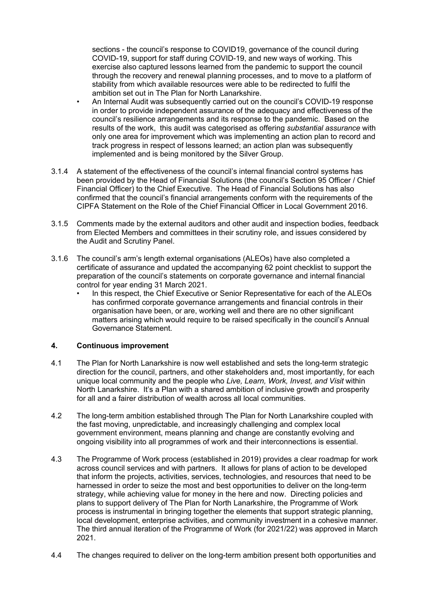sections - the council's response to COVID19, governance of the council during COVID-19, support for staff during COVID-19, and new ways of working. This exercise also captured lessons learned from the pandemic to support the council through the recovery and renewal planning processes, and to move to a platform of stability from which available resources were able to be redirected to fulfil the ambition set out in The Plan for North Lanarkshire.

- An Internal Audit was subsequently carried out on the council's COVID-19 response in order to provide independent assurance of the adequacy and effectiveness of the council's resilience arrangements and its response to the pandemic. Based on the results of the work, this audit was categorised as offering *substantial assurance* with only one area for improvement which was implementing an action plan to record and track progress in respect of lessons learned; an action plan was subsequently implemented and is being monitored by the Silver Group.
- 3.1.4 A statement of the effectiveness of the council's internal financial control systems has been provided by the Head of Financial Solutions (the council's Section 95 Officer / Chief Financial Officer) to the Chief Executive. The Head of Financial Solutions has also confirmed that the council's financial arrangements conform with the requirements of the CIPFA Statement on the Role of the Chief Financial Officer in Local Government 2016.
- 3.1.5 Comments made by the external auditors and other audit and inspection bodies, feedback from Elected Members and committees in their scrutiny role, and issues considered by the Audit and Scrutiny Panel.
- 3.1.6 The council's arm's length external organisations (ALEOs) have also completed a certificate of assurance and updated the accompanying 62 point checklist to support the preparation of the council's statements on corporate governance and internal financial control for year ending 31 March 2021.
	- In this respect, the Chief Executive or Senior Representative for each of the ALEOs has confirmed corporate governance arrangements and financial controls in their organisation have been, or are, working well and there are no other significant matters arising which would require to be raised specifically in the council's Annual Governance Statement.

#### **4. Continuous improvement**

- 4.1 The Plan for North Lanarkshire is now well established and sets the long-term strategic direction for the council, partners, and other stakeholders and, most importantly, for each unique local community and the people who *Live, Learn, Work, Invest, and Visit* within North Lanarkshire. It's a Plan with a shared ambition of inclusive growth and prosperity for all and a fairer distribution of wealth across all local communities.
- 4.2 The long-term ambition established through The Plan for North Lanarkshire coupled with the fast moving, unpredictable, and increasingly challenging and complex local government environment, means planning and change are constantly evolving and ongoing visibility into all programmes of work and their interconnections is essential.
- 4.3 The Programme of Work process (established in 2019) provides a clear roadmap for work across council services and with partners. It allows for plans of action to be developed that inform the projects, activities, services, technologies, and resources that need to be harnessed in order to seize the most and best opportunities to deliver on the long-term strategy, while achieving value for money in the here and now. Directing policies and plans to support delivery of The Plan for North Lanarkshire, the Programme of Work process is instrumental in bringing together the elements that support strategic planning, local development, enterprise activities, and community investment in a cohesive manner. The third annual iteration of the Programme of Work (for 2021/22) was approved in March 2021.
- 4.4 The changes required to deliver on the long-term ambition present both opportunities and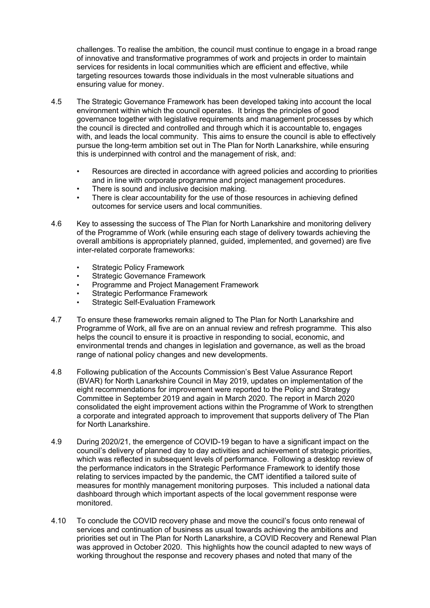challenges. To realise the ambition, the council must continue to engage in a broad range of innovative and transformative programmes of work and projects in order to maintain services for residents in local communities which are efficient and effective, while targeting resources towards those individuals in the most vulnerable situations and ensuring value for money.

- 4.5 The Strategic Governance Framework has been developed taking into account the local environment within which the council operates. It brings the principles of good governance together with legislative requirements and management processes by which the council is directed and controlled and through which it is accountable to, engages with, and leads the local community. This aims to ensure the council is able to effectively pursue the long-term ambition set out in The Plan for North Lanarkshire, while ensuring this is underpinned with control and the management of risk, and:
	- Resources are directed in accordance with agreed policies and according to priorities and in line with corporate programme and project management procedures.
	- There is sound and inclusive decision making.
	- There is clear accountability for the use of those resources in achieving defined outcomes for service users and local communities.
- 4.6 Key to assessing the success of The Plan for North Lanarkshire and monitoring delivery of the Programme of Work (while ensuring each stage of delivery towards achieving the overall ambitions is appropriately planned, guided, implemented, and governed) are five inter-related corporate frameworks:
	- **Strategic Policy Framework**
	- Strategic Governance Framework
	- Programme and Project Management Framework
	- Strategic Performance Framework
	- **Strategic Self-Evaluation Framework**
- 4.7 To ensure these frameworks remain aligned to The Plan for North Lanarkshire and Programme of Work, all five are on an annual review and refresh programme. This also helps the council to ensure it is proactive in responding to social, economic, and environmental trends and changes in legislation and governance, as well as the broad range of national policy changes and new developments.
- 4.8 Following publication of the Accounts Commission's Best Value Assurance Report (BVAR) for North Lanarkshire Council in May 2019, updates on implementation of the eight recommendations for improvement were reported to the Policy and Strategy Committee in September 2019 and again in March 2020. The report in March 2020 consolidated the eight improvement actions within the Programme of Work to strengthen a corporate and integrated approach to improvement that supports delivery of The Plan for North Lanarkshire.
- 4.9 During 2020/21, the emergence of COVID-19 began to have a significant impact on the council's delivery of planned day to day activities and achievement of strategic priorities, which was reflected in subsequent levels of performance. Following a desktop review of the performance indicators in the Strategic Performance Framework to identify those relating to services impacted by the pandemic, the CMT identified a tailored suite of measures for monthly management monitoring purposes. This included a national data dashboard through which important aspects of the local government response were monitored.
- 4.10 To conclude the COVID recovery phase and move the council's focus onto renewal of services and continuation of business as usual towards achieving the ambitions and priorities set out in The Plan for North Lanarkshire, a COVID Recovery and Renewal Plan was approved in October 2020. This highlights how the council adapted to new ways of working throughout the response and recovery phases and noted that many of the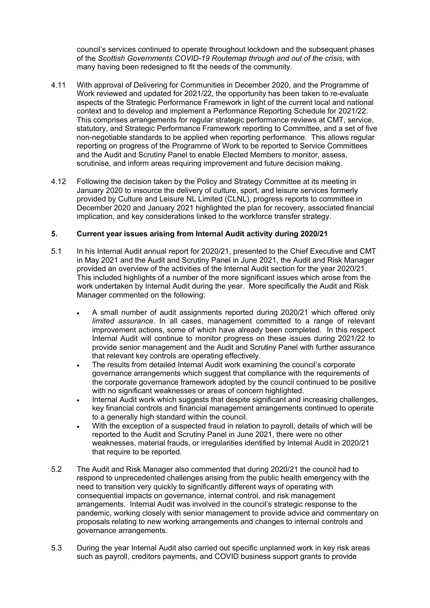council's services continued to operate throughout lockdown and the subsequent phases of the *Scottish Governments COVID-19 Routemap through and out of the crisis*, with many having been redesigned to fit the needs of the community.

- 4.11 With approval of Delivering for Communities in December 2020, and the Programme of Work reviewed and updated for 2021/22, the opportunity has been taken to re-evaluate aspects of the Strategic Performance Framework in light of the current local and national context and to develop and implement a Performance Reporting Schedule for 2021/22. This comprises arrangements for regular strategic performance reviews at CMT, service, statutory, and Strategic Performance Framework reporting to Committee, and a set of five non-negotiable standards to be applied when reporting performance. This allows regular reporting on progress of the Programme of Work to be reported to Service Committees and the Audit and Scrutiny Panel to enable Elected Members to monitor, assess, scrutinise, and inform areas requiring improvement and future decision making.
- 4.12 Following the decision taken by the Policy and Strategy Committee at its meeting in January 2020 to insource the delivery of culture, sport, and leisure services formerly provided by Culture and Leisure NL Limited (CLNL), progress reports to committee in December 2020 and January 2021 highlighted the plan for recovery, associated financial implication, and key considerations linked to the workforce transfer strategy.

#### **5. Current year issues arising from Internal Audit activity during 2020/21**

- 5.1 In his Internal Audit annual report for 2020/21, presented to the Chief Executive and CMT in May 2021 and the Audit and Scrutiny Panel in June 2021, the Audit and Risk Manager provided an overview of the activities of the Internal Audit section for the year 2020/21. This included highlights of a number of the more significant issues which arose from the work undertaken by Internal Audit during the year. More specifically the Audit and Risk Manager commented on the following:
	- A small number of audit assignments reported during 2020/21 which offered only *limited assurance*. In all cases, management committed to a range of relevant improvement actions, some of which have already been completed. In this respect Internal Audit will continue to monitor progress on these issues during 2021/22 to provide senior management and the Audit and Scrutiny Panel with further assurance that relevant key controls are operating effectively.
	- The results from detailed Internal Audit work examining the council's corporate governance arrangements which suggest that compliance with the requirements of the corporate governance framework adopted by the council continued to be positive with no significant weaknesses or areas of concern highlighted.
	- Internal Audit work which suggests that despite significant and increasing challenges, key financial controls and financial management arrangements continued to operate to a generally high standard within the council.
	- With the exception of a suspected fraud in relation to payroll, details of which will be reported to the Audit and Scrutiny Panel in June 2021, there were no other weaknesses, material frauds, or irregularities identified by Internal Audit in 2020/21 that require to be reported.
- 5.2 The Audit and Risk Manager also commented that during 2020/21 the council had to respond to unprecedented challenges arising from the public health emergency with the need to transition very quickly to significantly different ways of operating with consequential impacts on governance, internal control, and risk management arrangements. Internal Audit was involved in the council's strategic response to the pandemic, working closely with senior management to provide advice and commentary on proposals relating to new working arrangements and changes to internal controls and governance arrangements.
- 5.3 During the year Internal Audit also carried out specific unplanned work in key risk areas such as payroll, creditors payments, and COVID business support grants to provide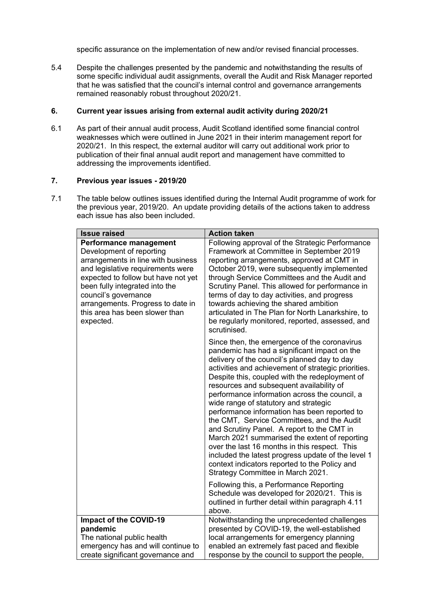specific assurance on the implementation of new and/or revised financial processes.

5.4 Despite the challenges presented by the pandemic and notwithstanding the results of some specific individual audit assignments, overall the Audit and Risk Manager reported that he was satisfied that the council's internal control and governance arrangements remained reasonably robust throughout 2020/21.

#### **6. Current year issues arising from external audit activity during 2020/21**

6.1 As part of their annual audit process, Audit Scotland identified some financial control weaknesses which were outlined in June 2021 in their interim management report for 2020/21. In this respect, the external auditor will carry out additional work prior to publication of their final annual audit report and management have committed to addressing the improvements identified.

#### **7. Previous year issues - 2019/20**

7.1 The table below outlines issues identified during the Internal Audit programme of work for the previous year, 2019/20. An update providing details of the actions taken to address each issue has also been included.

| <b>Issue raised</b>                                                                                                                                                                                                                                                                                                       | <b>Action taken</b>                                                                                                                                                                                                                                                                                                                                                                                                                                                                                                                                                                                                                                                                                                                                                                   |
|---------------------------------------------------------------------------------------------------------------------------------------------------------------------------------------------------------------------------------------------------------------------------------------------------------------------------|---------------------------------------------------------------------------------------------------------------------------------------------------------------------------------------------------------------------------------------------------------------------------------------------------------------------------------------------------------------------------------------------------------------------------------------------------------------------------------------------------------------------------------------------------------------------------------------------------------------------------------------------------------------------------------------------------------------------------------------------------------------------------------------|
| <b>Performance management</b><br>Development of reporting<br>arrangements in line with business<br>and legislative requirements were<br>expected to follow but have not yet<br>been fully integrated into the<br>council's governance<br>arrangements. Progress to date in<br>this area has been slower than<br>expected. | Following approval of the Strategic Performance<br>Framework at Committee in September 2019<br>reporting arrangements, approved at CMT in<br>October 2019, were subsequently implemented<br>through Service Committees and the Audit and<br>Scrutiny Panel. This allowed for performance in<br>terms of day to day activities, and progress<br>towards achieving the shared ambition<br>articulated in The Plan for North Lanarkshire, to<br>be regularly monitored, reported, assessed, and<br>scrutinised.                                                                                                                                                                                                                                                                          |
|                                                                                                                                                                                                                                                                                                                           | Since then, the emergence of the coronavirus<br>pandemic has had a significant impact on the<br>delivery of the council's planned day to day<br>activities and achievement of strategic priorities.<br>Despite this, coupled with the redeployment of<br>resources and subsequent availability of<br>performance information across the council, a<br>wide range of statutory and strategic<br>performance information has been reported to<br>the CMT, Service Committees, and the Audit<br>and Scrutiny Panel. A report to the CMT in<br>March 2021 summarised the extent of reporting<br>over the last 16 months in this respect. This<br>included the latest progress update of the level 1<br>context indicators reported to the Policy and<br>Strategy Committee in March 2021. |
|                                                                                                                                                                                                                                                                                                                           | Following this, a Performance Reporting<br>Schedule was developed for 2020/21. This is<br>outlined in further detail within paragraph 4.11<br>above.                                                                                                                                                                                                                                                                                                                                                                                                                                                                                                                                                                                                                                  |
| Impact of the COVID-19<br>pandemic<br>The national public health<br>emergency has and will continue to<br>create significant governance and                                                                                                                                                                               | Notwithstanding the unprecedented challenges<br>presented by COVID-19, the well-established<br>local arrangements for emergency planning<br>enabled an extremely fast paced and flexible<br>response by the council to support the people,                                                                                                                                                                                                                                                                                                                                                                                                                                                                                                                                            |